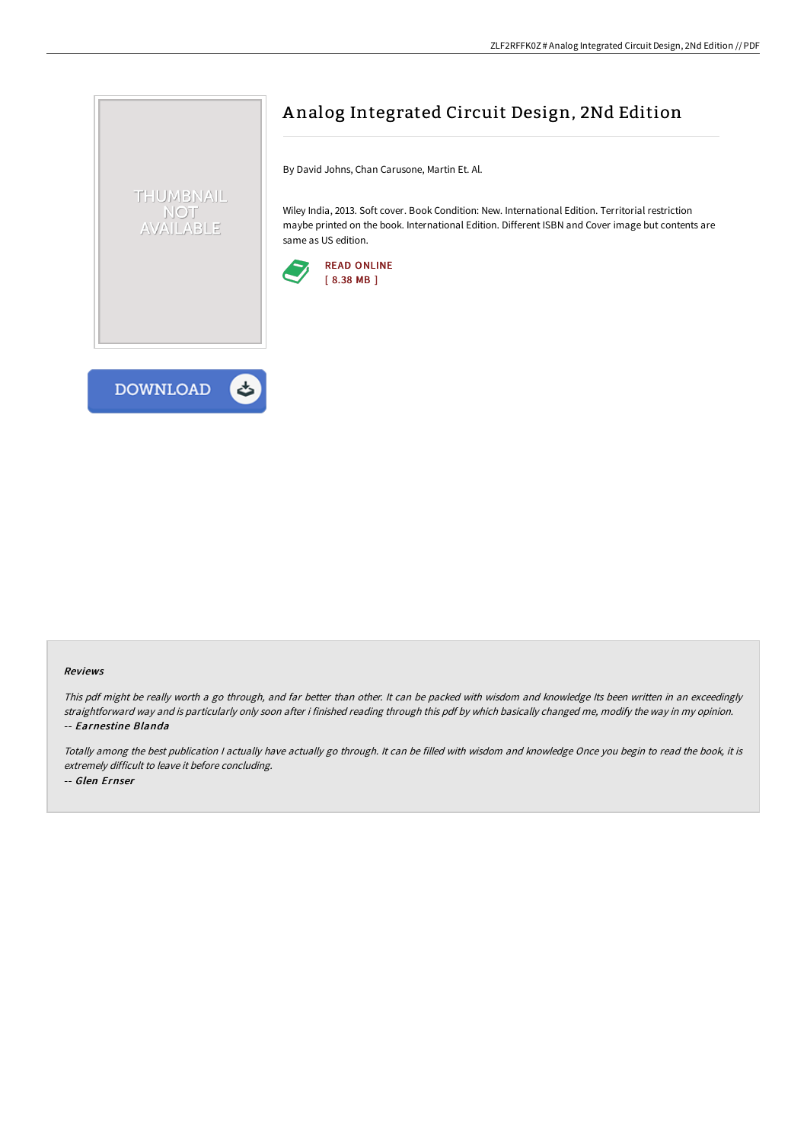

By David Johns, Chan Carusone, Martin Et. Al.

Wiley India, 2013. Soft cover. Book Condition: New. International Edition. Territorial restriction maybe printed on the book. International Edition. Different ISBN and Cover image but contents are same as US edition.





THUMBNAIL NOT AVAILABLE

#### Reviews

This pdf might be really worth <sup>a</sup> go through, and far better than other. It can be packed with wisdom and knowledge Its been written in an exceedingly straightforward way and is particularly only soon after i finished reading through this pdf by which basically changed me, modify the way in my opinion. -- Earnestine Blanda

Totally among the best publication <sup>I</sup> actually have actually go through. It can be filled with wisdom and knowledge Once you begin to read the book, it is extremely difficult to leave it before concluding. -- Glen Ernser